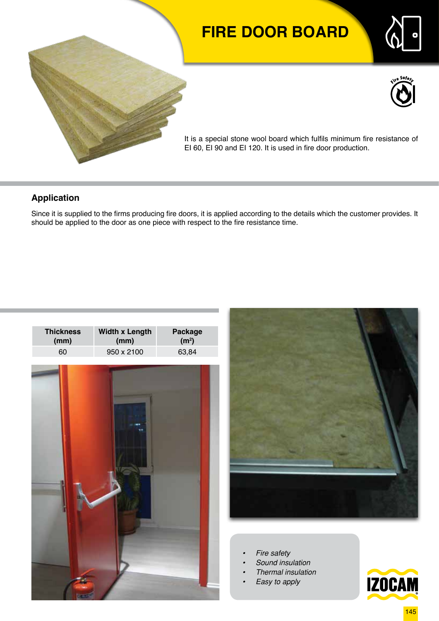# **FIRE DOOR BOARD**





It is a special stone wool board which fulfils minimum fire resistance of EI 60, EI 90 and EI 120. It is used in fire door production.

### **Application**

Since it is supplied to the firms producing fire doors, it is applied according to the details which the customer provides. It should be applied to the door as one piece with respect to the fire resistance time.





- *• Fire safety*
- *• Sound insulation*
- *• Thermal insulation*
- *• Easy to apply*